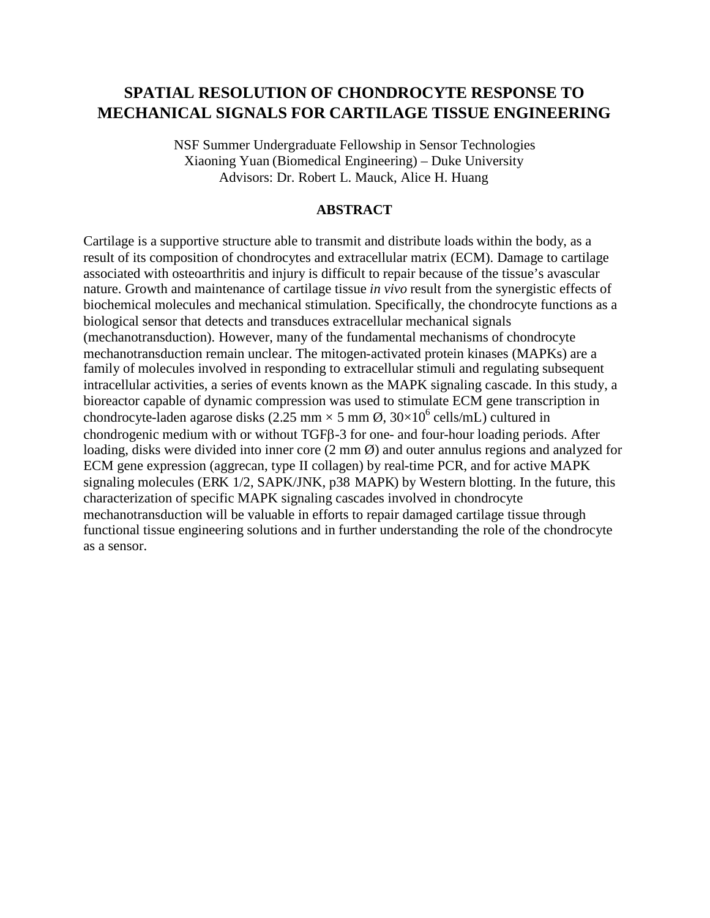# **SPATIAL RESOLUTION OF CHONDROCYTE RESPONSE TO MECHANICAL SIGNALS FOR CARTILAGE TISSUE ENGINEERING**

NSF Summer Undergraduate Fellowship in Sensor Technologies Xiaoning Yuan (Biomedical Engineering) – Duke University Advisors: Dr. Robert L. Mauck, Alice H. Huang

#### **ABSTRACT**

Cartilage is a supportive structure able to transmit and distribute loads within the body, as a result of its composition of chondrocytes and extracellular matrix (ECM). Damage to cartilage associated with osteoarthritis and injury is difficult to repair because of the tissue's avascular nature. Growth and maintenance of cartilage tissue *in vivo* result from the synergistic effects of biochemical molecules and mechanical stimulation. Specifically, the chondrocyte functions as a biological sensor that detects and transduces extracellular mechanical signals (mechanotransduction). However, many of the fundamental mechanisms of chondrocyte mechanotransduction remain unclear. The mitogen-activated protein kinases (MAPKs) are a family of molecules involved in responding to extracellular stimuli and regulating subsequent intracellular activities, a series of events known as the MAPK signaling cascade. In this study, a bioreactor capable of dynamic compression was used to stimulate ECM gene transcription in chondrocyte-laden agarose disks (2.25 mm  $\times$  5 mm  $\varnothing$ , 30 $\times$ 10<sup>6</sup> cells/mL) cultured in chondrogenic medium with or without TGFB-3 for one- and four-hour loading periods. After loading, disks were divided into inner core (2 mm  $\varnothing$ ) and outer annulus regions and analyzed for ECM gene expression (aggrecan, type II collagen) by real-time PCR, and for active MAPK signaling molecules (ERK 1/2, SAPK/JNK, p38 MAPK) by Western blotting. In the future, this characterization of specific MAPK signaling cascades involved in chondrocyte mechanotransduction will be valuable in efforts to repair damaged cartilage tissue through functional tissue engineering solutions and in further understanding the role of the chondrocyte as a sensor.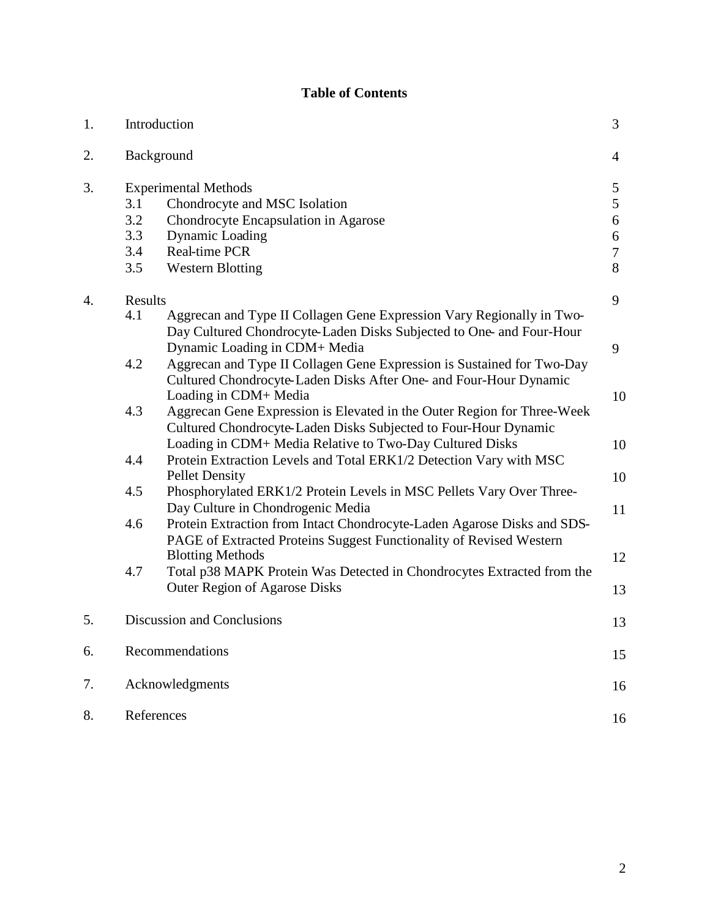# **Table of Contents**

| 1. | Introduction                                                        |                                                                                                                                                                                                        | 3                                    |
|----|---------------------------------------------------------------------|--------------------------------------------------------------------------------------------------------------------------------------------------------------------------------------------------------|--------------------------------------|
| 2. | Background                                                          |                                                                                                                                                                                                        | $\overline{4}$                       |
| 3. | <b>Experimental Methods</b><br>3.1<br>Chondrocyte and MSC Isolation |                                                                                                                                                                                                        | 5<br>5                               |
|    | 3.2<br>3.3                                                          | Chondrocyte Encapsulation in Agarose<br><b>Dynamic Loading</b>                                                                                                                                         | 6                                    |
|    | 3.4                                                                 | Real-time PCR                                                                                                                                                                                          | $\boldsymbol{6}$<br>$\boldsymbol{7}$ |
|    | 3.5                                                                 | <b>Western Blotting</b>                                                                                                                                                                                | 8                                    |
| 4. | Results                                                             |                                                                                                                                                                                                        | 9                                    |
|    | 4.1                                                                 | Aggrecan and Type II Collagen Gene Expression Vary Regionally in Two-<br>Day Cultured Chondrocyte-Laden Disks Subjected to One- and Four-Hour<br>Dynamic Loading in CDM+ Media                         | 9                                    |
|    | 4.2                                                                 | Aggrecan and Type II Collagen Gene Expression is Sustained for Two-Day<br>Cultured Chondrocyte-Laden Disks After One- and Four-Hour Dynamic<br>Loading in CDM+ Media                                   | 10                                   |
|    | 4.3                                                                 | Aggrecan Gene Expression is Elevated in the Outer Region for Three-Week<br>Cultured Chondrocyte-Laden Disks Subjected to Four-Hour Dynamic<br>Loading in CDM+ Media Relative to Two-Day Cultured Disks | 10                                   |
|    | 4.4                                                                 | Protein Extraction Levels and Total ERK1/2 Detection Vary with MSC<br><b>Pellet Density</b>                                                                                                            | 10                                   |
|    | 4.5                                                                 | Phosphorylated ERK1/2 Protein Levels in MSC Pellets Vary Over Three-<br>Day Culture in Chondrogenic Media                                                                                              |                                      |
|    | 4.6                                                                 | Protein Extraction from Intact Chondrocyte-Laden Agarose Disks and SDS-<br>PAGE of Extracted Proteins Suggest Functionality of Revised Western                                                         | 11                                   |
|    | 4.7                                                                 | <b>Blotting Methods</b><br>Total p38 MAPK Protein Was Detected in Chondrocytes Extracted from the                                                                                                      | 12                                   |
|    |                                                                     | <b>Outer Region of Agarose Disks</b>                                                                                                                                                                   | 13                                   |
| 5. | Discussion and Conclusions                                          |                                                                                                                                                                                                        | 13                                   |
| 6. | Recommendations                                                     |                                                                                                                                                                                                        | 15                                   |
| 7. | Acknowledgments                                                     |                                                                                                                                                                                                        | 16                                   |
| 8. | References                                                          |                                                                                                                                                                                                        | 16                                   |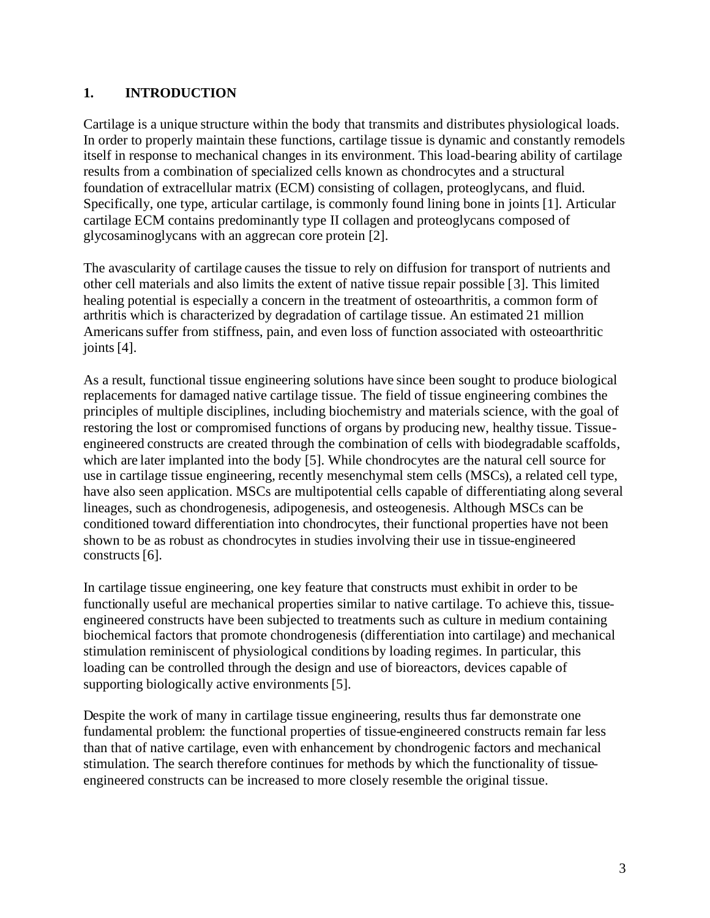### **1. INTRODUCTION**

Cartilage is a unique structure within the body that transmits and distributes physiological loads. In order to properly maintain these functions, cartilage tissue is dynamic and constantly remodels itself in response to mechanical changes in its environment. This load-bearing ability of cartilage results from a combination of specialized cells known as chondrocytes and a structural foundation of extracellular matrix (ECM) consisting of collagen, proteoglycans, and fluid. Specifically, one type, articular cartilage, is commonly found lining bone in joints [1]. Articular cartilage ECM contains predominantly type II collagen and proteoglycans composed of glycosaminoglycans with an aggrecan core protein [2].

The avascularity of cartilage causes the tissue to rely on diffusion for transport of nutrients and other cell materials and also limits the extent of native tissue repair possible [3]. This limited healing potential is especially a concern in the treatment of osteoarthritis, a common form of arthritis which is characterized by degradation of cartilage tissue. An estimated 21 million Americanssuffer from stiffness, pain, and even loss of function associated with osteoarthritic joints [4].

As a result, functional tissue engineering solutions have since been sought to produce biological replacements for damaged native cartilage tissue. The field of tissue engineering combines the principles of multiple disciplines, including biochemistry and materials science, with the goal of restoring the lost or compromised functions of organs by producing new, healthy tissue. Tissueengineered constructs are created through the combination of cells with biodegradable scaffolds, which are later implanted into the body [5]. While chondrocytes are the natural cell source for use in cartilage tissue engineering, recently mesenchymal stem cells (MSCs), a related cell type, have also seen application. MSCs are multipotential cells capable of differentiating along several lineages, such as chondrogenesis, adipogenesis, and osteogenesis. Although MSCs can be conditioned toward differentiation into chondrocytes, their functional properties have not been shown to be as robust as chondrocytes in studies involving their use in tissue-engineered constructs [6].

In cartilage tissue engineering, one key feature that constructs must exhibit in order to be functionally useful are mechanical properties similar to native cartilage. To achieve this, tissueengineered constructs have been subjected to treatments such as culture in medium containing biochemical factors that promote chondrogenesis (differentiation into cartilage) and mechanical stimulation reminiscent of physiological conditions by loading regimes. In particular, this loading can be controlled through the design and use of bioreactors, devices capable of supporting biologically active environments [5].

Despite the work of many in cartilage tissue engineering, results thus far demonstrate one fundamental problem: the functional properties of tissue-engineered constructs remain far less than that of native cartilage, even with enhancement by chondrogenic factors and mechanical stimulation. The search therefore continues for methods by which the functionality of tissueengineered constructs can be increased to more closely resemble the original tissue.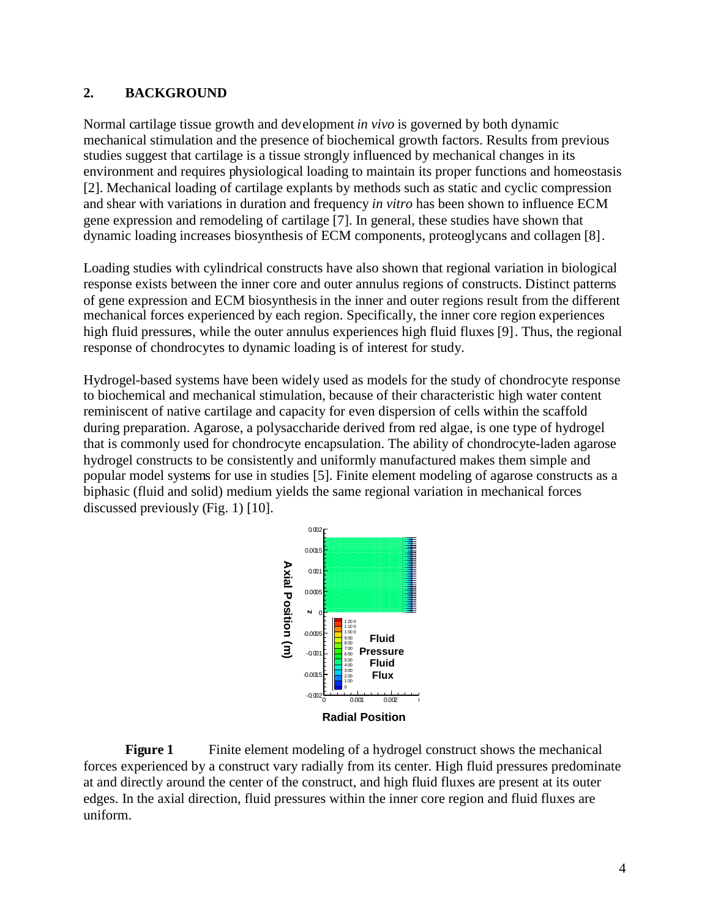#### **2. BACKGROUND**

Normal cartilage tissue growth and development *in vivo* is governed by both dynamic mechanical stimulation and the presence of biochemical growth factors. Results from previous studies suggest that cartilage is a tissue strongly influenced by mechanical changes in its environment and requires physiological loading to maintain its proper functions and homeostasis [2]. Mechanical loading of cartilage explants by methods such as static and cyclic compression and shear with variations in duration and frequency *in vitro* has been shown to influence ECM gene expression and remodeling of cartilage [7]. In general, these studies have shown that dynamic loading increases biosynthesis of ECM components, proteoglycans and collagen [8].

Loading studies with cylindrical constructs have also shown that regional variation in biological response exists between the inner core and outer annulus regions of constructs. Distinct patterns of gene expression and ECM biosynthesis in the inner and outer regions result from the different mechanical forces experienced by each region. Specifically, the inner core region experiences high fluid pressures, while the outer annulus experiences high fluid fluxes [9]. Thus, the regional response of chondrocytes to dynamic loading is of interest for study.

Hydrogel-based systems have been widely used as models for the study of chondrocyte response to biochemical and mechanical stimulation, because of their characteristic high water content reminiscent of native cartilage and capacity for even dispersion of cells within the scaffold during preparation. Agarose, a polysaccharide derived from red algae, is one type of hydrogel that is commonly used for chondrocyte encapsulation. The ability of chondrocyte-laden agarose hydrogel constructs to be consistently and uniformly manufactured makes them simple and popular model systems for use in studies [5]. Finite element modeling of agarose constructs as a biphasic (fluid and solid) medium yields the same regional variation in mechanical forces discussed previously (Fig. 1) [10].



**Figure 1** Finite element modeling of a hydrogel construct shows the mechanical forces experienced by a construct vary radially from its center. High fluid pressures predominate at and directly around the center of the construct, and high fluid fluxes are present at its outer edges. In the axial direction, fluid pressures within the inner core region and fluid fluxes are uniform.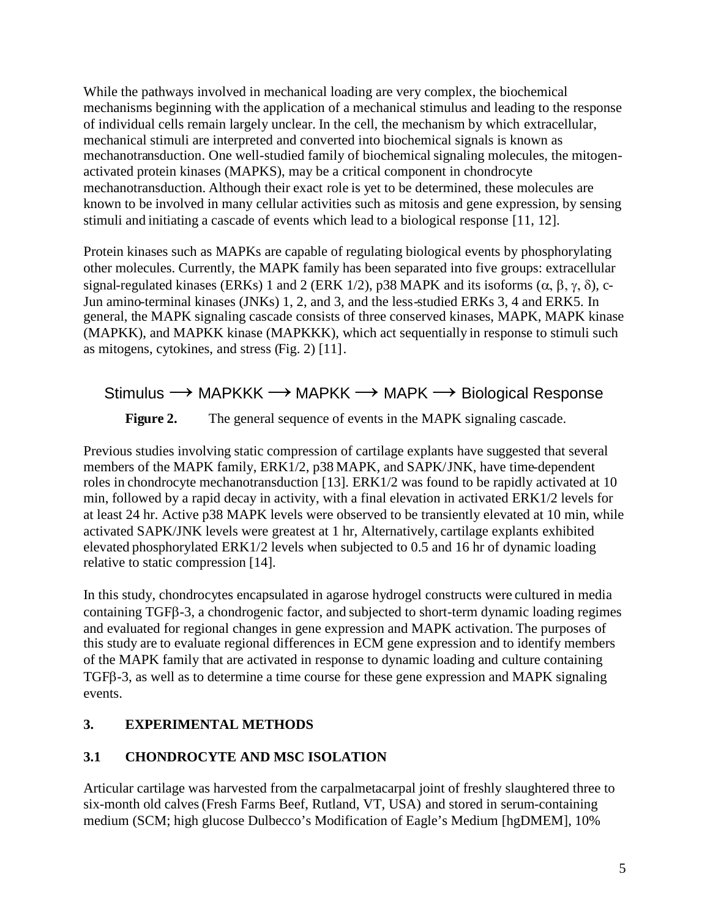While the pathways involved in mechanical loading are very complex, the biochemical mechanisms beginning with the application of a mechanical stimulus and leading to the response of individual cells remain largely unclear. In the cell, the mechanism by which extracellular, mechanical stimuli are interpreted and converted into biochemical signals is known as mechanotransduction. One well-studied family of biochemical signaling molecules, the mitogenactivated protein kinases (MAPKS), may be a critical component in chondrocyte mechanotransduction. Although their exact role is yet to be determined, these molecules are known to be involved in many cellular activities such as mitosis and gene expression, by sensing stimuli and initiating a cascade of events which lead to a biological response [11, 12].

Protein kinases such as MAPKs are capable of regulating biological events by phosphorylating other molecules. Currently, the MAPK family has been separated into five groups: extracellular signal-regulated kinases (ERKs) 1 and 2 (ERK 1/2), p38 MAPK and its isoforms ( $\alpha$ ,  $\beta$ ,  $\gamma$ ,  $\delta$ ), c-Jun amino-terminal kinases (JNKs) 1, 2, and 3, and the less-studied ERKs 3, 4 and ERK5. In general, the MAPK signaling cascade consists of three conserved kinases, MAPK, MAPK kinase (MAPKK), and MAPKK kinase (MAPKKK), which act sequentially in response to stimuli such as mitogens, cytokines, and stress (Fig. 2) [11].

# Stimulus  $\rightarrow$  MAPKKK  $\rightarrow$  MAPKK  $\rightarrow$  MAPK  $\rightarrow$  Biological Response

**Figure 2.** The general sequence of events in the MAPK signaling cascade.

Previous studies involving static compression of cartilage explants have suggested that several members of the MAPK family, ERK1/2, p38 MAPK, and SAPK/JNK, have time-dependent roles in chondrocyte mechanotransduction [13]. ERK1/2 was found to be rapidly activated at 10 min, followed by a rapid decay in activity, with a final elevation in activated ERK1/2 levels for at least 24 hr. Active p38 MAPK levels were observed to be transiently elevated at 10 min, while activated SAPK/JNK levels were greatest at 1 hr, Alternatively, cartilage explants exhibited elevated phosphorylated ERK1/2 levels when subjected to 0.5 and 16 hr of dynamic loading relative to static compression [14].

In this study, chondrocytes encapsulated in agarose hydrogel constructs were cultured in media containing TGFB-3, a chondrogenic factor, and subjected to short-term dynamic loading regimes and evaluated for regional changes in gene expression and MAPK activation. The purposes of this study are to evaluate regional differences in ECM gene expression and to identify members of the MAPK family that are activated in response to dynamic loading and culture containing TGFB-3, as well as to determine a time course for these gene expression and MAPK signaling events.

### **3. EXPERIMENTAL METHODS**

### **3.1 CHONDROCYTE AND MSC ISOLATION**

Articular cartilage was harvested from the carpalmetacarpal joint of freshly slaughtered three to six-month old calves(Fresh Farms Beef, Rutland, VT, USA) and stored in serum-containing medium (SCM; high glucose Dulbecco's Modification of Eagle's Medium [hgDMEM], 10%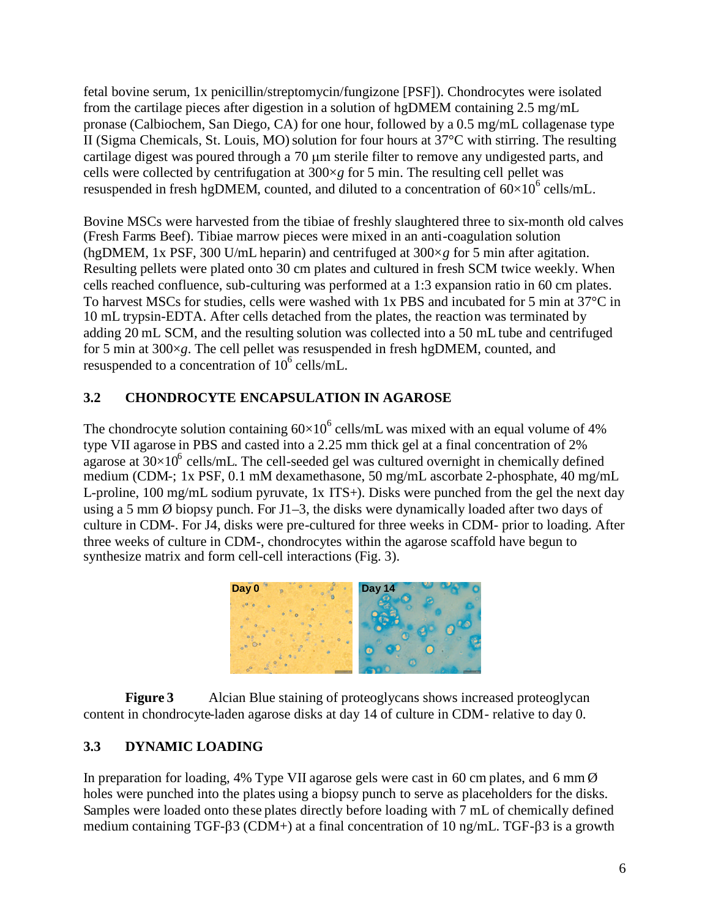fetal bovine serum, 1x penicillin/streptomycin/fungizone [PSF]). Chondrocytes were isolated from the cartilage pieces after digestion in a solution of hgDMEM containing 2.5 mg/mL pronase (Calbiochem, San Diego, CA) for one hour, followed by a 0.5 mg/mL collagenase type II (Sigma Chemicals, St. Louis, MO) solution for four hours at  $37^{\circ}$ C with stirring. The resulting cartilage digest was poured through a 70 µm sterile filter to remove any undigested parts, and cells were collected by centrifugation at 300×*g* for 5 min. The resulting cell pellet was resuspended in fresh hgDMEM, counted, and diluted to a concentration of  $60\times10^6$  cells/mL.

Bovine MSCs were harvested from the tibiae of freshly slaughtered three to six-month old calves (Fresh Farms Beef). Tibiae marrow pieces were mixed in an anti-coagulation solution (hgDMEM, 1x PSF, 300 U/mL heparin) and centrifuged at 300×*g* for 5 min after agitation. Resulting pellets were plated onto 30 cm plates and cultured in fresh SCM twice weekly. When cells reached confluence, sub-culturing was performed at a 1:3 expansion ratio in 60 cm plates. To harvest MSCs for studies, cells were washed with 1x PBS and incubated for 5 min at  $37^{\circ}$ C in 10 mL trypsin-EDTA. After cells detached from the plates, the reaction was terminated by adding 20 mL SCM, and the resulting solution was collected into a 50 mL tube and centrifuged for 5 min at 300×*g*. The cell pellet was resuspended in fresh hgDMEM, counted, and resuspended to a concentration of  $10^6$  cells/mL.

## **3.2 CHONDROCYTE ENCAPSULATION IN AGAROSE**

The chondrocyte solution containing  $60\times10^6$  cells/mL was mixed with an equal volume of 4% type VII agarose in PBS and casted into a 2.25 mm thick gel at a final concentration of 2% agarose at  $30\times10^6$  cells/mL. The cell-seeded gel was cultured overnight in chemically defined medium (CDM-; 1x PSF, 0.1 mM dexamethasone, 50 mg/mL ascorbate 2-phosphate, 40 mg/mL L-proline, 100 mg/mL sodium pyruvate, 1x ITS+). Disks were punched from the gel the next day using a 5 mm Ø biopsy punch. For J1–3, the disks were dynamically loaded after two days of culture in CDM-. For J4, disks were pre-cultured for three weeks in CDM- prior to loading. After three weeks of culture in CDM-, chondrocytes within the agarose scaffold have begun to synthesize matrix and form cell-cell interactions (Fig. 3).



**Figure 3** Alcian Blue staining of proteoglycans shows increased proteoglycan content in chondrocyte-laden agarose disks at day 14 of culture in CDM- relative to day 0.

## **3.3 DYNAMIC LOADING**

In preparation for loading, 4% Type VII agarose gels were cast in 60 cm plates, and 6 mm  $\emptyset$ holes were punched into the plates using a biopsy punch to serve as placeholders for the disks. Samples were loaded onto these plates directly before loading with 7 mL of chemically defined medium containing TGF- $\beta$ 3 (CDM+) at a final concentration of 10 ng/mL. TGF- $\beta$ 3 is a growth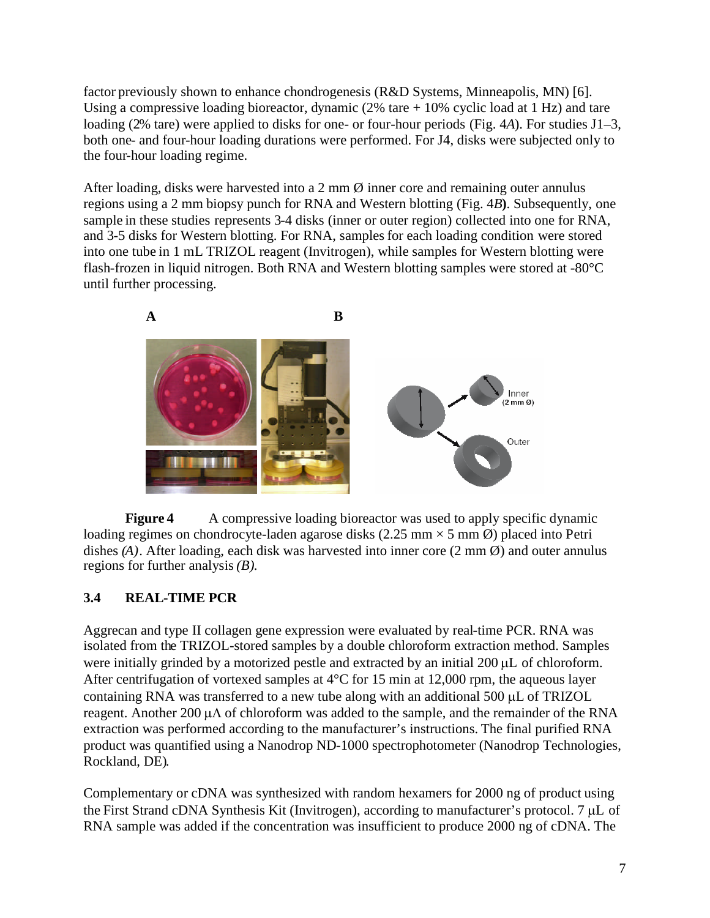factor previously shown to enhance chondrogenesis (R&D Systems, Minneapolis, MN) [6]. Using a compressive loading bioreactor, dynamic  $(2\% \text{ tare} + 10\% \text{ cyclic load at 1 Hz})$  and tare loading (2% tare) were applied to disks for one- or four-hour periods (Fig. 4*A*). For studies J1–3, both one- and four-hour loading durations were performed. For J4, disks were subjected only to the four-hour loading regime.

After loading, disks were harvested into a 2 mm  $\emptyset$  inner core and remaining outer annulus regions using a 2 mm biopsy punch for RNA and Western blotting (Fig. 4*B***)**. Subsequently, one sample in these studies represents 3-4 disks (inner or outer region) collected into one for RNA, and 3-5 disks for Western blotting. For RNA, samples for each loading condition were stored into one tube in 1 mL TRIZOL reagent (Invitrogen), while samples for Western blotting were flash-frozen in liquid nitrogen. Both RNA and Western blotting samples were stored at -80°C until further processing.



**Figure 4** A compressive loading bioreactor was used to apply specific dynamic loading regimes on chondrocyte-laden agarose disks (2.25 mm  $\times$  5 mm  $\varnothing$ ) placed into Petri dishes (A). After loading, each disk was harvested into inner core (2 mm  $\emptyset$ ) and outer annulus regions for further analysis*(B)*.

## **3.4 REAL-TIME PCR**

Aggrecan and type II collagen gene expression were evaluated by real-time PCR. RNA was isolated from the TRIZOL-stored samples by a double chloroform extraction method. Samples were initially grinded by a motorized pestle and extracted by an initial  $200 \mu L$  of chloroform. After centrifugation of vortexed samples at 4°C for 15 min at 12,000 rpm, the aqueous layer containing RNA was transferred to a new tube along with an additional 500 µL of TRIZOL reagent. Another 200  $\mu$ A of chloroform was added to the sample, and the remainder of the RNA extraction was performed according to the manufacturer's instructions. The final purified RNA product was quantified using a Nanodrop ND-1000 spectrophotometer (Nanodrop Technologies, Rockland, DE).

Complementary or cDNA was synthesized with random hexamers for 2000 ng of product using the First Strand cDNA Synthesis Kit (Invitrogen), according to manufacturer's protocol. 7 µL of RNA sample was added if the concentration was insufficient to produce 2000 ng of cDNA. The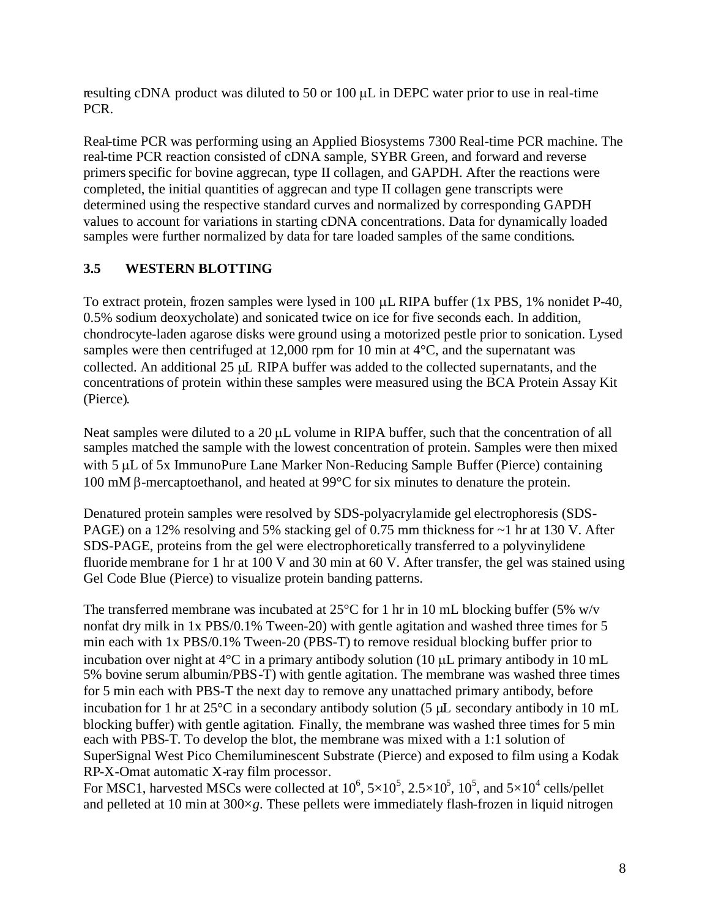resulting cDNA product was diluted to 50 or 100  $\mu$ L in DEPC water prior to use in real-time PCR.

Real-time PCR was performing using an Applied Biosystems 7300 Real-time PCR machine. The real-time PCR reaction consisted of cDNA sample, SYBR Green, and forward and reverse primers specific for bovine aggrecan, type II collagen, and GAPDH. After the reactions were completed, the initial quantities of aggrecan and type II collagen gene transcripts were determined using the respective standard curves and normalized by corresponding GAPDH values to account for variations in starting cDNA concentrations. Data for dynamically loaded samples were further normalized by data for tare loaded samples of the same conditions.

## **3.5 WESTERN BLOTTING**

To extract protein, frozen samples were lysed in 100  $\mu$ L RIPA buffer (1x PBS, 1% nonidet P-40, 0.5% sodium deoxycholate) and sonicated twice on ice for five seconds each. In addition, chondrocyte-laden agarose disks were ground using a motorized pestle prior to sonication. Lysed samples were then centrifuged at 12,000 rpm for 10 min at 4<sup>o</sup>C, and the supernatant was collected. An additional 25  $\mu$  RIPA buffer was added to the collected supernatants, and the concentrations of protein within these samples were measured using the BCA Protein Assay Kit (Pierce).

Neat samples were diluted to a  $20 \mu L$  volume in RIPA buffer, such that the concentration of all samples matched the sample with the lowest concentration of protein. Samples were then mixed with 5 µL of 5x ImmunoPure Lane Marker Non-Reducing Sample Buffer (Pierce) containing 100 mM  $\beta$ -mercaptoethanol, and heated at 99 $\degree$ C for six minutes to denature the protein.

Denatured protein samples were resolved by SDS-polyacrylamide gel electrophoresis (SDS-PAGE) on a 12% resolving and 5% stacking gel of 0.75 mm thickness for  $\sim$ 1 hr at 130 V. After SDS-PAGE, proteins from the gel were electrophoretically transferred to a polyvinylidene fluoride membrane for 1 hr at 100 V and 30 min at 60 V. After transfer, the gel was stained using Gel Code Blue (Pierce) to visualize protein banding patterns.

The transferred membrane was incubated at  $25^{\circ}$ C for 1 hr in 10 mL blocking buffer (5% w/v nonfat dry milk in 1x PBS/0.1% Tween-20) with gentle agitation and washed three times for 5 min each with 1x PBS/0.1% Tween-20 (PBS-T) to remove residual blocking buffer prior to incubation over night at  $4^{\circ}$ C in a primary antibody solution (10 µL primary antibody in 10 mL 5% bovine serum albumin/PBS-T) with gentle agitation. The membrane was washed three times for 5 min each with PBS-T the next day to remove any unattached primary antibody, before incubation for 1 hr at  $25^{\circ}$ C in a secondary antibody solution (5  $\mu$ L secondary antibody in 10 mL blocking buffer) with gentle agitation. Finally, the membrane was washed three times for 5 min each with PBS-T. To develop the blot, the membrane was mixed with a 1:1 solution of SuperSignal West Pico Chemiluminescent Substrate (Pierce) and exposed to film using a Kodak RP-X-Omat automatic X-ray film processor.

For MSC1, harvested MSCs were collected at  $10^6$ ,  $5\times10^5$ ,  $2.5\times10^5$ ,  $10^5$ , and  $5\times10^4$  cells/pellet and pelleted at 10 min at  $300 \times g$ . These pellets were immediately flash-frozen in liquid nitrogen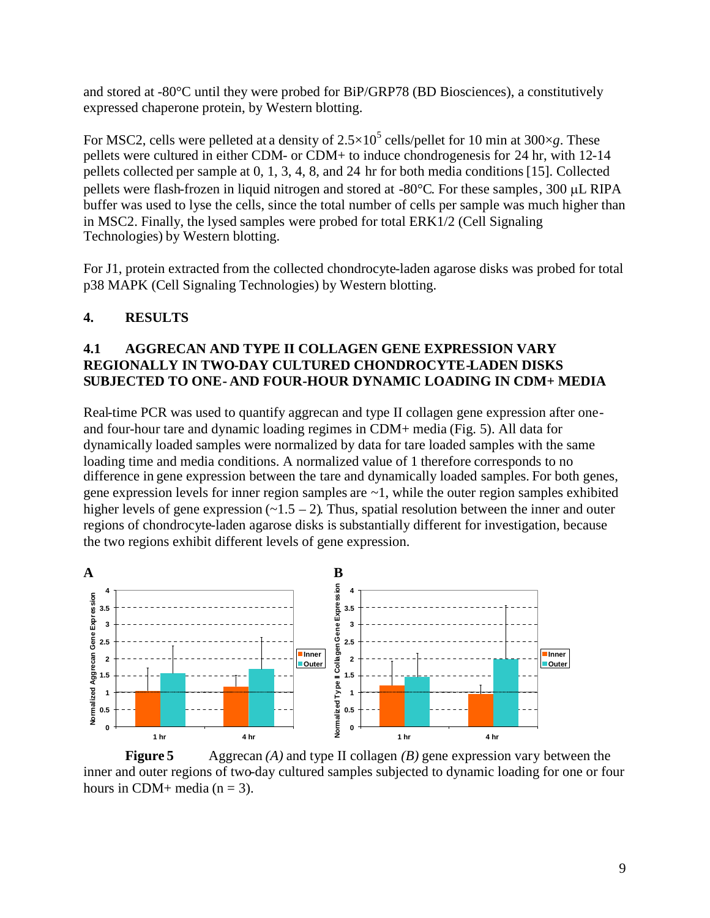and stored at -80°C until they were probed for BiP/GRP78 (BD Biosciences), a constitutively expressed chaperone protein, by Western blotting.

For MSC2, cells were pelleted at a density of  $2.5 \times 10^5$  cells/pellet for 10 min at 300 $\times$ *g*. These pellets were cultured in either CDM- or CDM+ to induce chondrogenesis for 24 hr, with 12-14 pellets collected per sample at 0, 1, 3, 4, 8, and 24 hr for both media conditions[15]. Collected pellets were flash-frozen in liquid nitrogen and stored at  $-80^{\circ}$ C. For these samples, 300  $\mu$ L RIPA buffer was used to lyse the cells, since the total number of cells per sample was much higher than in MSC2. Finally, the lysed samples were probed for total ERK1/2 (Cell Signaling Technologies) by Western blotting.

For J1, protein extracted from the collected chondrocyte-laden agarose disks was probed for total p38 MAPK (Cell Signaling Technologies) by Western blotting.

#### **4. RESULTS**

#### **4.1 AGGRECAN AND TYPE II COLLAGEN GENE EXPRESSION VARY REGIONALLY IN TWO-DAY CULTURED CHONDROCYTE-LADEN DISKS SUBJECTED TO ONE- AND FOUR-HOUR DYNAMIC LOADING IN CDM+ MEDIA**

Real-time PCR was used to quantify aggrecan and type II collagen gene expression after oneand four-hour tare and dynamic loading regimes in CDM+ media (Fig. 5). All data for dynamically loaded samples were normalized by data for tare loaded samples with the same loading time and media conditions. A normalized value of 1 therefore corresponds to no difference in gene expression between the tare and dynamically loaded samples. For both genes, gene expression levels for inner region samples are ~1, while the outer region samples exhibited higher levels of gene expression  $(-1.5 - 2)$ . Thus, spatial resolution between the inner and outer regions of chondrocyte-laden agarose disks is substantially different for investigation, because the two regions exhibit different levels of gene expression.



**Figure 5** Aggrecan *(A)* and type II collagen *(B)* gene expression vary between the inner and outer regions of two-day cultured samples subjected to dynamic loading for one or four hours in CDM+ media ( $n = 3$ ).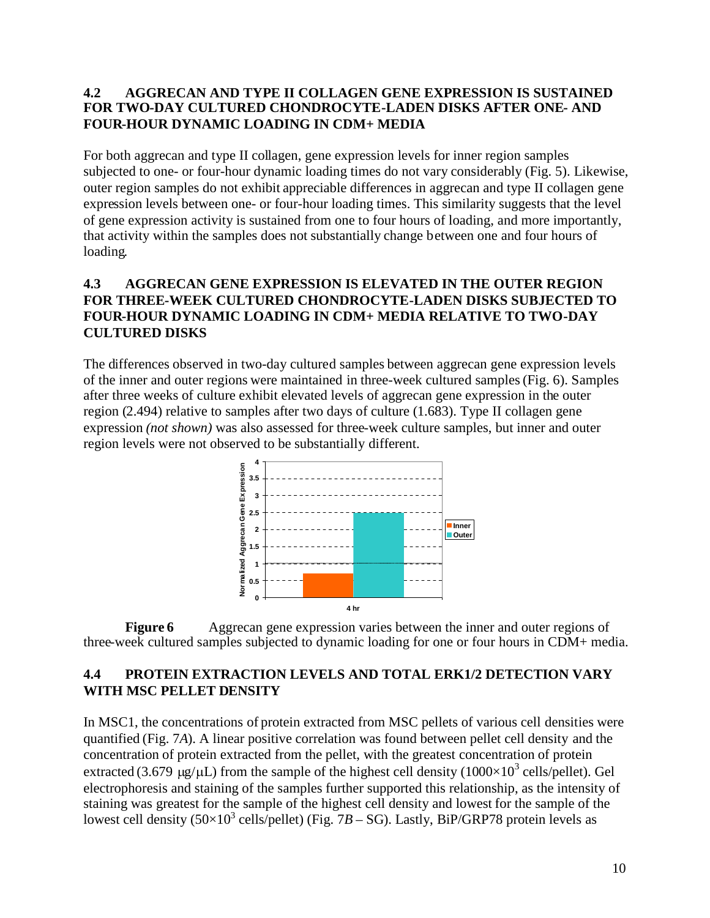#### **4.2 AGGRECAN AND TYPE II COLLAGEN GENE EXPRESSION IS SUSTAINED FOR TWO-DAY CULTURED CHONDROCYTE-LADEN DISKS AFTER ONE- AND FOUR-HOUR DYNAMIC LOADING IN CDM+ MEDIA**

For both aggrecan and type II collagen, gene expression levels for inner region samples subjected to one- or four-hour dynamic loading times do not vary considerably (Fig. 5). Likewise, outer region samples do not exhibit appreciable differences in aggrecan and type II collagen gene expression levels between one- or four-hour loading times. This similarity suggests that the level of gene expression activity is sustained from one to four hours of loading, and more importantly, that activity within the samples does not substantially change between one and four hours of loading.

#### **4.3 AGGRECAN GENE EXPRESSION IS ELEVATED IN THE OUTER REGION FOR THREE-WEEK CULTURED CHONDROCYTE-LADEN DISKS SUBJECTED TO FOUR-HOUR DYNAMIC LOADING IN CDM+ MEDIA RELATIVE TO TWO-DAY CULTURED DISKS**

The differences observed in two-day cultured samples between aggrecan gene expression levels of the inner and outer regions were maintained in three-week cultured samples(Fig. 6). Samples after three weeks of culture exhibit elevated levels of aggrecan gene expression in the outer region (2.494) relative to samples after two days of culture (1.683). Type II collagen gene expression *(not shown)* was also assessed for three-week culture samples, but inner and outer region levels were not observed to be substantially different.



**Figure 6** Aggrecan gene expression varies between the inner and outer regions of three-week cultured samples subjected to dynamic loading for one or four hours in CDM+ media.

### **4.4 PROTEIN EXTRACTION LEVELS AND TOTAL ERK1/2 DETECTION VARY WITH MSC PELLET DENSITY**

In MSC1, the concentrations of protein extracted from MSC pellets of various cell densities were quantified (Fig. 7*A*). A linear positive correlation was found between pellet cell density and the concentration of protein extracted from the pellet, with the greatest concentration of protein extracted (3.679  $\mu$ g/ $\mu$ L) from the sample of the highest cell density (1000×10<sup>3</sup> cells/pellet). Gel electrophoresis and staining of the samples further supported this relationship, as the intensity of staining was greatest for the sample of the highest cell density and lowest for the sample of the lowest cell density  $(50\times10^3 \text{ cells/pellet})$  (Fig. 7*B* – SG). Lastly, BiP/GRP78 protein levels as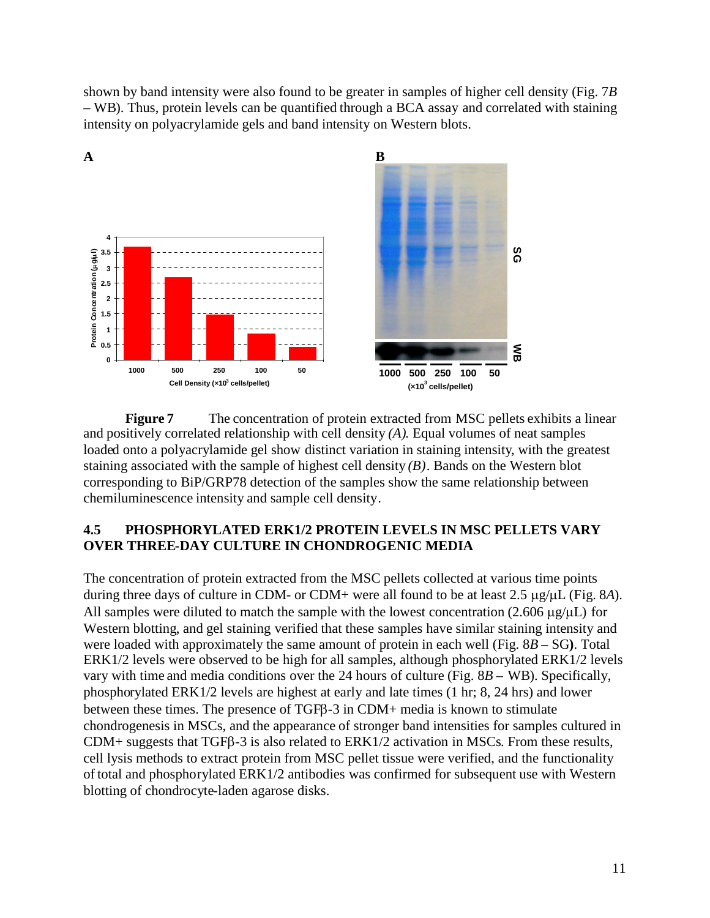shown by band intensity were also found to be greater in samples of higher cell density (Fig. 7*B* – WB). Thus, protein levels can be quantified through a BCA assay and correlated with staining intensity on polyacrylamide gels and band intensity on Western blots.



**Figure 7** The concentration of protein extracted from MSC pellets exhibits a linear and positively correlated relationship with cell density *(A).* Equal volumes of neat samples loaded onto a polyacrylamide gel show distinct variation in staining intensity, with the greatest staining associated with the sample of highest cell density *(B)*. Bands on the Western blot corresponding to BiP/GRP78 detection of the samples show the same relationship between chemiluminescence intensity and sample cell density.

### **4.5 PHOSPHORYLATED ERK1/2 PROTEIN LEVELS IN MSC PELLETS VARY OVER THREE-DAY CULTURE IN CHONDROGENIC MEDIA**

The concentration of protein extracted from the MSC pellets collected at various time points during three days of culture in CDM- or CDM+ were all found to be at least  $2.5 \mu g/\mu L$  (Fig. 8*A*). All samples were diluted to match the sample with the lowest concentration  $(2.606 \mu g/\mu L)$  for Western blotting, and gel staining verified that these samples have similar staining intensity and were loaded with approximately the same amount of protein in each well (Fig. 8*B* – SG**)**. Total ERK1/2 levels were observed to be high for all samples, although phosphorylated ERK1/2 levels vary with time and media conditions over the 24 hours of culture (Fig. 8*B* – WB). Specifically, phosphorylated ERK1/2 levels are highest at early and late times (1 hr; 8, 24 hrs) and lower between these times. The presence of TGFB-3 in CDM+ media is known to stimulate chondrogenesis in MSCs, and the appearance of stronger band intensities for samples cultured in  $CDM+$  suggests that TGF $\beta$ -3 is also related to ERK1/2 activation in MSCs. From these results, cell lysis methods to extract protein from MSC pellet tissue were verified, and the functionality of total and phosphorylated ERK1/2 antibodies was confirmed for subsequent use with Western blotting of chondrocyte-laden agarose disks.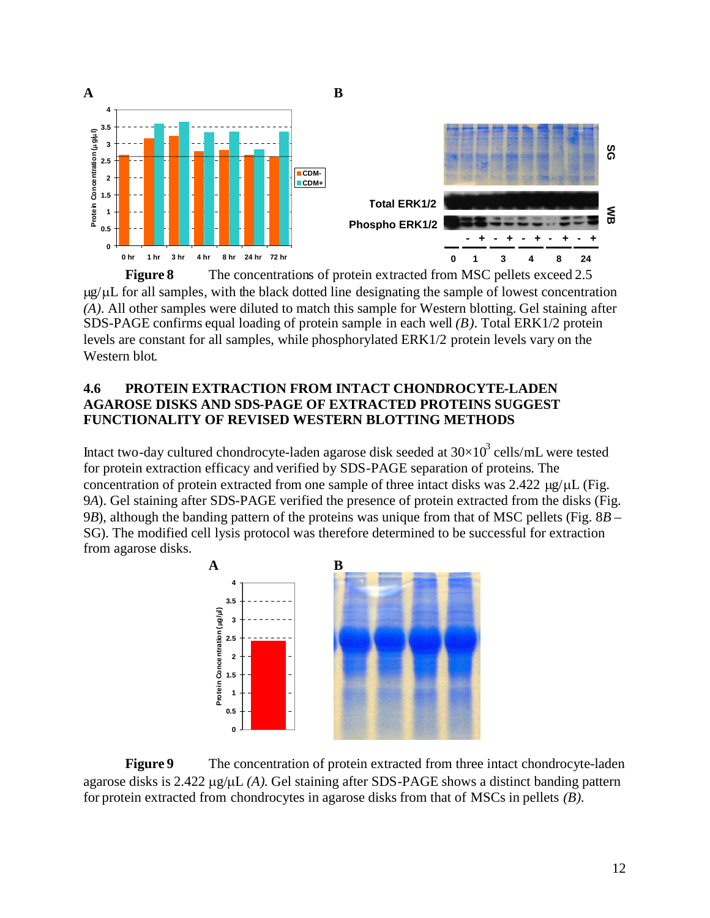

**Figure 8** The concentrations of protein extracted from MSC pellets exceed 2.5  $\mu$ g/ $\mu$ L for all samples, with the black dotted line designating the sample of lowest concentration *(A)*. All other samples were diluted to match this sample for Western blotting. Gel staining after SDS-PAGE confirms equal loading of protein sample in each well *(B)*. Total ERK1/2 protein levels are constant for all samples, while phosphorylated ERK1/2 protein levels vary on the Western blot.

#### **4.6 PROTEIN EXTRACTION FROM INTACT CHONDROCYTE-LADEN AGAROSE DISKS AND SDS-PAGE OF EXTRACTED PROTEINS SUGGEST FUNCTIONALITY OF REVISED WESTERN BLOTTING METHODS**

Intact two-day cultured chondrocyte-laden agarose disk seeded at  $30\times10^3$  cells/mL were tested for protein extraction efficacy and verified by SDS-PAGE separation of proteins. The concentration of protein extracted from one sample of three intact disks was  $2.422 \mu g/\mu L$  (Fig. 9*A*). Gel staining after SDS-PAGE verified the presence of protein extracted from the disks (Fig. 9*B*), although the banding pattern of the proteins was unique from that of MSC pellets (Fig. 8*B* – SG). The modified cell lysis protocol was therefore determined to be successful for extraction from agarose disks.



**Figure 9** The concentration of protein extracted from three intact chondrocyte-laden agarose disks is  $2.422 \mu g/\mu L$  *(A)*. Gel staining after SDS-PAGE shows a distinct banding pattern for protein extracted from chondrocytes in agarose disks from that of MSCs in pellets *(B)*.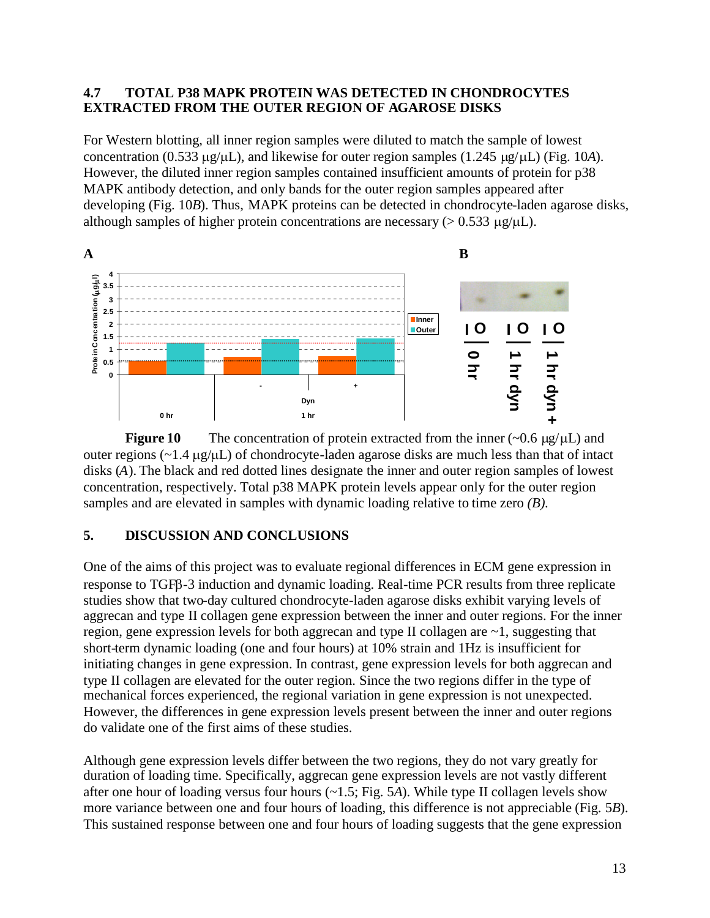#### **4.7 TOTAL P38 MAPK PROTEIN WAS DETECTED IN CHONDROCYTES EXTRACTED FROM THE OUTER REGION OF AGAROSE DISKS**

For Western blotting, all inner region samples were diluted to match the sample of lowest concentration (0.533  $\mu$ g/ $\mu$ L), and likewise for outer region samples (1.245  $\mu$ g/ $\mu$ L) (Fig. 10*A*). However, the diluted inner region samples contained insufficient amounts of protein for p38 MAPK antibody detection, and only bands for the outer region samples appeared after developing (Fig. 10*B*). Thus, MAPK proteins can be detected in chondrocyte-laden agarose disks, although samples of higher protein concentrations are necessary ( $> 0.533 \mu g/\mu L$ ).



**Figure 10** The concentration of protein extracted from the inner  $(\sim 0.6 \mu g/\mu L)$  and outer regions  $(\sim 1.4 \mu g/\mu L)$  of chondrocyte-laden agarose disks are much less than that of intact disks (*A*). The black and red dotted lines designate the inner and outer region samples of lowest concentration, respectively. Total p38 MAPK protein levels appear only for the outer region samples and are elevated in samples with dynamic loading relative to time zero *(B)*.

### **5. DISCUSSION AND CONCLUSIONS**

One of the aims of this project was to evaluate regional differences in ECM gene expression in response to TGFB-3 induction and dynamic loading. Real-time PCR results from three replicate studies show that two-day cultured chondrocyte-laden agarose disks exhibit varying levels of aggrecan and type II collagen gene expression between the inner and outer regions. For the inner region, gene expression levels for both aggrecan and type II collagen are ~1, suggesting that short-term dynamic loading (one and four hours) at 10% strain and 1Hz is insufficient for initiating changes in gene expression. In contrast, gene expression levels for both aggrecan and type II collagen are elevated for the outer region. Since the two regions differ in the type of mechanical forces experienced, the regional variation in gene expression is not unexpected. However, the differences in gene expression levels present between the inner and outer regions do validate one of the first aims of these studies.

Although gene expression levels differ between the two regions, they do not vary greatly for duration of loading time. Specifically, aggrecan gene expression levels are not vastly different after one hour of loading versus four hours (~1.5; Fig. 5*A*). While type II collagen levels show more variance between one and four hours of loading, this difference is not appreciable (Fig. 5*B*). This sustained response between one and four hours of loading suggests that the gene expression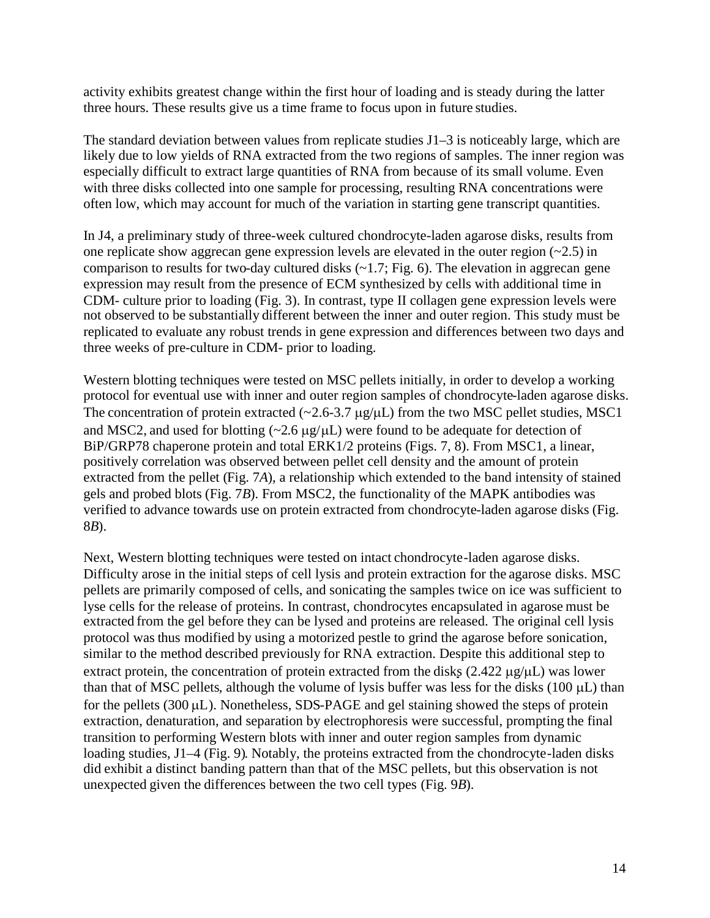activity exhibits greatest change within the first hour of loading and is steady during the latter three hours. These results give us a time frame to focus upon in future studies.

The standard deviation between values from replicate studies J1–3 is noticeably large, which are likely due to low yields of RNA extracted from the two regions of samples. The inner region was especially difficult to extract large quantities of RNA from because of its small volume. Even with three disks collected into one sample for processing, resulting RNA concentrations were often low, which may account for much of the variation in starting gene transcript quantities.

In J4, a preliminary study of three-week cultured chondrocyte-laden agarose disks, results from one replicate show aggrecan gene expression levels are elevated in the outer region  $(-2.5)$  in comparison to results for two-day cultured disks  $(-1.7; Fig. 6)$ . The elevation in aggreean gene expression may result from the presence of ECM synthesized by cells with additional time in CDM- culture prior to loading (Fig. 3). In contrast, type II collagen gene expression levels were not observed to be substantially different between the inner and outer region. This study must be replicated to evaluate any robust trends in gene expression and differences between two days and three weeks of pre-culture in CDM- prior to loading.

Western blotting techniques were tested on MSC pellets initially, in order to develop a working protocol for eventual use with inner and outer region samples of chondrocyte-laden agarose disks. The concentration of protein extracted ( $\sim$ 2.6-3.7  $\mu$ g/ $\mu$ L) from the two MSC pellet studies, MSC1 and MSC2, and used for blotting  $\left(\sim 2.6 \text{ µg/µL}\right)$  were found to be adequate for detection of BiP/GRP78 chaperone protein and total ERK1/2 proteins (Figs. 7, 8). From MSC1, a linear, positively correlation was observed between pellet cell density and the amount of protein extracted from the pellet (Fig. 7*A*), a relationship which extended to the band intensity of stained gels and probed blots (Fig. 7*B*). From MSC2, the functionality of the MAPK antibodies was verified to advance towards use on protein extracted from chondrocyte-laden agarose disks (Fig. 8*B*).

Next, Western blotting techniques were tested on intact chondrocyte-laden agarose disks. Difficulty arose in the initial steps of cell lysis and protein extraction for the agarose disks. MSC pellets are primarily composed of cells, and sonicating the samples twice on ice was sufficient to lyse cells for the release of proteins. In contrast, chondrocytes encapsulated in agarose must be extracted from the gel before they can be lysed and proteins are released. The original cell lysis protocol was thus modified by using a motorized pestle to grind the agarose before sonication, similar to the method described previously for RNA extraction. Despite this additional step to extract protein, the concentration of protein extracted from the disks  $(2.422 \mu g/\mu L)$  was lower than that of MSC pellets, although the volume of lysis buffer was less for the disks (100  $\mu$ L) than for the pellets  $(300 \,\mu L)$ . Nonetheless, SDS-PAGE and gel staining showed the steps of protein extraction, denaturation, and separation by electrophoresis were successful, prompting the final transition to performing Western blots with inner and outer region samples from dynamic loading studies, J1–4 (Fig. 9). Notably, the proteins extracted from the chondrocyte-laden disks did exhibit a distinct banding pattern than that of the MSC pellets, but this observation is not unexpected given the differences between the two cell types (Fig. 9*B*).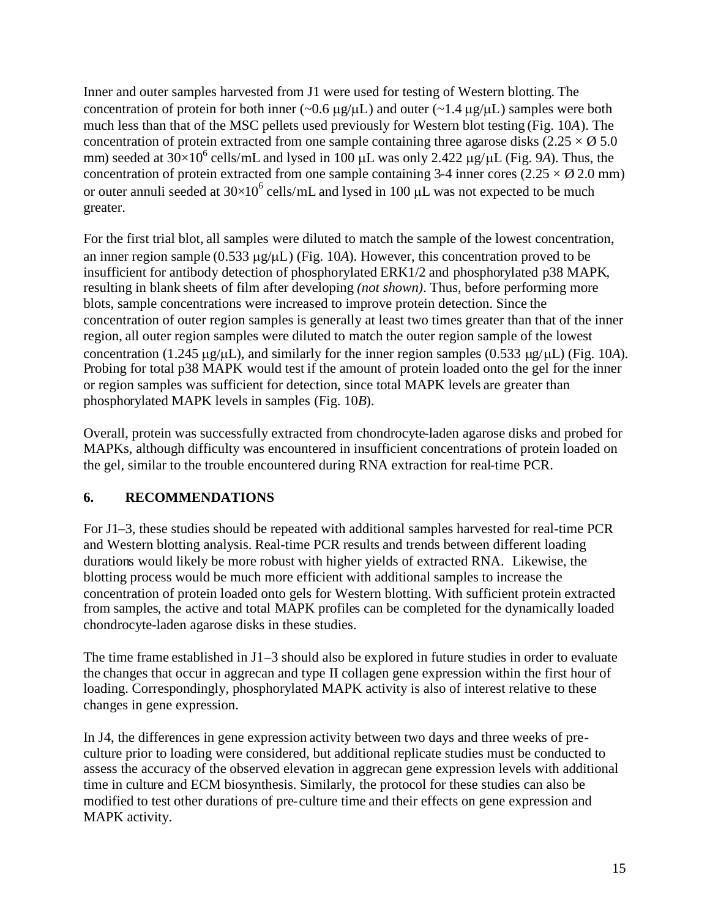Inner and outer samples harvested from J1 were used for testing of Western blotting. The concentration of protein for both inner  $(\sim 0.6 \mu g/\mu L)$  and outer  $(\sim 1.4 \mu g/\mu L)$  samples were both much less than that of the MSC pellets used previously for Western blot testing (Fig. 10*A*). The concentration of protein extracted from one sample containing three agarose disks (2.25  $\times$  Ø 5.0) mm) seeded at  $30 \times 10^6$  cells/mL and lysed in 100  $\mu$ L was only 2.422  $\mu$ g/ $\mu$ L (Fig. 9*A*). Thus, the concentration of protein extracted from one sample containing 3-4 inner cores  $(2.25 \times \emptyset 2.0 \text{ mm})$ or outer annuli seeded at  $30\times10^6$  cells/mL and lysed in 100  $\mu$ L was not expected to be much greater.

For the first trial blot, all samples were diluted to match the sample of the lowest concentration, an inner region sample  $(0.533 \mu g/\mu L)$  (Fig. 10A). However, this concentration proved to be insufficient for antibody detection of phosphorylated ERK1/2 and phosphorylated p38 MAPK, resulting in blank sheets of film after developing *(not shown)*. Thus, before performing more blots, sample concentrations were increased to improve protein detection. Since the concentration of outer region samples is generally at least two times greater than that of the inner region, all outer region samples were diluted to match the outer region sample of the lowest concentration (1.245  $\mu$ g/ $\mu$ L), and similarly for the inner region samples (0.533  $\mu$ g/ $\mu$ L) (Fig. 10*A*). Probing for total p38 MAPK would test if the amount of protein loaded onto the gel for the inner or region samples was sufficient for detection, since total MAPK levels are greater than phosphorylated MAPK levels in samples (Fig. 10*B*).

Overall, protein was successfully extracted from chondrocyte-laden agarose disks and probed for MAPKs, although difficulty was encountered in insufficient concentrations of protein loaded on the gel, similar to the trouble encountered during RNA extraction for real-time PCR.

## **6. RECOMMENDATIONS**

For J1–3, these studies should be repeated with additional samples harvested for real-time PCR and Western blotting analysis. Real-time PCR results and trends between different loading durations would likely be more robust with higher yields of extracted RNA. Likewise, the blotting process would be much more efficient with additional samples to increase the concentration of protein loaded onto gels for Western blotting. With sufficient protein extracted from samples, the active and total MAPK profiles can be completed for the dynamically loaded chondrocyte-laden agarose disks in these studies.

The time frame established in J1–3 should also be explored in future studies in order to evaluate the changes that occur in aggrecan and type II collagen gene expression within the first hour of loading. Correspondingly, phosphorylated MAPK activity is also of interest relative to these changes in gene expression.

In J4, the differences in gene expression activity between two days and three weeks of preculture prior to loading were considered, but additional replicate studies must be conducted to assess the accuracy of the observed elevation in aggrecan gene expression levels with additional time in culture and ECM biosynthesis. Similarly, the protocol for these studies can also be modified to test other durations of pre-culture time and their effects on gene expression and MAPK activity.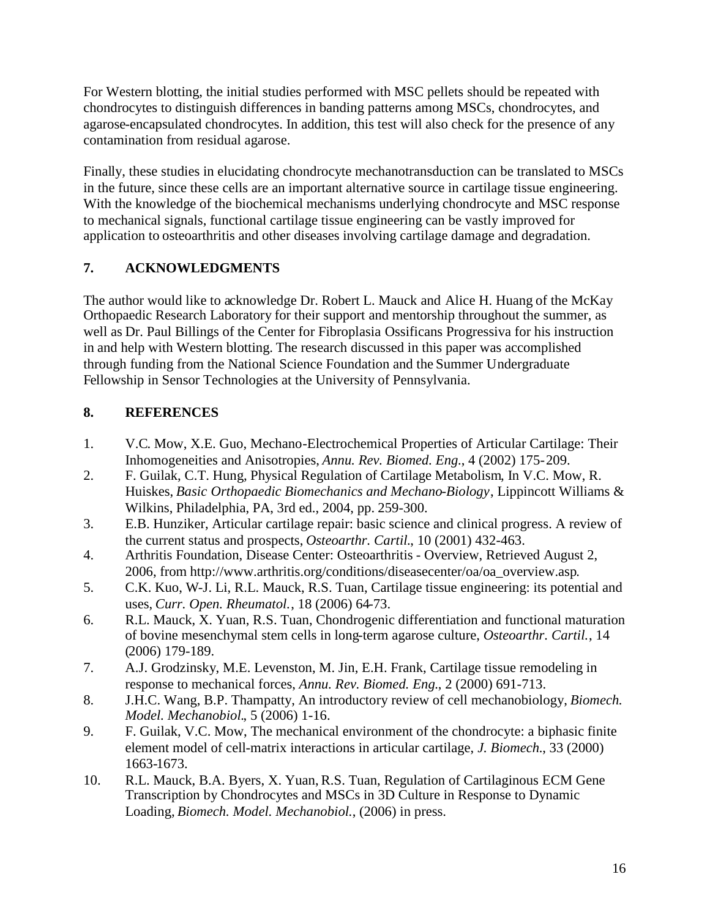For Western blotting, the initial studies performed with MSC pellets should be repeated with chondrocytes to distinguish differences in banding patterns among MSCs, chondrocytes, and agarose-encapsulated chondrocytes. In addition, this test will also check for the presence of any contamination from residual agarose.

Finally, these studies in elucidating chondrocyte mechanotransduction can be translated to MSCs in the future, since these cells are an important alternative source in cartilage tissue engineering. With the knowledge of the biochemical mechanisms underlying chondrocyte and MSC response to mechanical signals, functional cartilage tissue engineering can be vastly improved for application to osteoarthritis and other diseases involving cartilage damage and degradation.

## **7. ACKNOWLEDGMENTS**

The author would like to acknowledge Dr. Robert L. Mauck and Alice H. Huang of the McKay Orthopaedic Research Laboratory for their support and mentorship throughout the summer, as well as Dr. Paul Billings of the Center for Fibroplasia Ossificans Progressiva for his instruction in and help with Western blotting. The research discussed in this paper was accomplished through funding from the National Science Foundation and the Summer Undergraduate Fellowship in Sensor Technologies at the University of Pennsylvania.

## **8. REFERENCES**

- 1. V.C. Mow, X.E. Guo, Mechano-Electrochemical Properties of Articular Cartilage: Their Inhomogeneities and Anisotropies, *Annu. Rev. Biomed. Eng.*, 4 (2002) 175-209.
- 2. F. Guilak, C.T. Hung, Physical Regulation of Cartilage Metabolism, In V.C. Mow, R. Huiskes, *Basic Orthopaedic Biomechanics and Mechano-Biology*, Lippincott Williams & Wilkins, Philadelphia, PA, 3rd ed., 2004, pp. 259-300.
- 3. E.B. Hunziker, Articular cartilage repair: basic science and clinical progress. A review of the current status and prospects, *Osteoarthr. Cartil.*, 10 (2001) 432-463.
- 4. Arthritis Foundation, Disease Center: Osteoarthritis Overview, Retrieved August 2, 2006, from http://www.arthritis.org/conditions/diseasecenter/oa/oa\_overview.asp.
- 5. C.K. Kuo, W-J. Li, R.L. Mauck, R.S. Tuan, Cartilage tissue engineering: its potential and uses, *Curr. Open. Rheumatol.*, 18 (2006) 64-73.
- 6. R.L. Mauck, X. Yuan, R.S. Tuan, Chondrogenic differentiation and functional maturation of bovine mesenchymal stem cells in long-term agarose culture, *Osteoarthr. Cartil.*, 14 (2006) 179-189.
- 7. A.J. Grodzinsky, M.E. Levenston, M. Jin, E.H. Frank, Cartilage tissue remodeling in response to mechanical forces, *Annu. Rev. Biomed. Eng.*, 2 (2000) 691-713.
- 8. J.H.C. Wang, B.P. Thampatty, An introductory review of cell mechanobiology, *Biomech. Model. Mechanobiol.*, 5 (2006) 1-16.
- 9. F. Guilak, V.C. Mow, The mechanical environment of the chondrocyte: a biphasic finite element model of cell-matrix interactions in articular cartilage, *J. Biomech.*, 33 (2000) 1663-1673.
- 10. R.L. Mauck, B.A. Byers, X. Yuan, R.S. Tuan, Regulation of Cartilaginous ECM Gene Transcription by Chondrocytes and MSCs in 3D Culture in Response to Dynamic Loading, *Biomech. Model. Mechanobiol.*, (2006) in press.